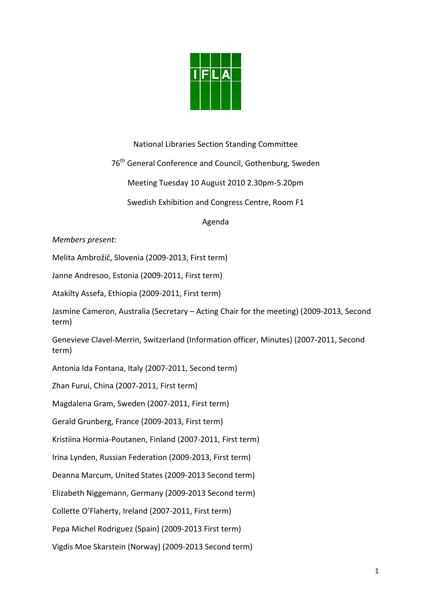

## National Libraries Section Standing Committee

76<sup>th</sup> General Conference and Council, Gothenburg, Sweden

Meeting Tuesday 10 August 2010 2.30pm‐5.20pm

Swedish Exhibition and Congress Centre, Room F1

### Agenda

### *Members present*:

Melita Ambrožič, Slovenia (2009‐2013, First term)

Janne Andresoo, Estonia (2009‐2011, First term)

Atakilty Assefa, Ethiopia (2009‐2011, First term)

Jasmine Cameron, Australia (Secretary – Acting Chair for the meeting) (2009‐2013, Second term)

Genevieve Clavel‐Merrin, Switzerland (Information officer, Minutes) (2007‐2011, Second term)

Antonia Ida Fontana, Italy (2007‐2011, Second term)

Zhan Furui, China (2007‐2011, First term)

Magdalena Gram, Sweden (2007‐2011, First term)

Gerald Grunberg, France (2009‐2013, First term)

Kristiina Hormia‐Poutanen, Finland (2007‐2011, First term)

Irina Lynden, Russian Federation (2009‐2013, First term)

Deanna Marcum, United States (2009‐2013 Second term)

Elizabeth Niggemann, Germany (2009‐2013 Second term)

Collette O'Flaherty, Ireland (2007‐2011, First term)

Pepa Michel Rodriguez (Spain) (2009‐2013 First term)

Vigdis Moe Skarstein (Norway) (2009‐2013 Second term)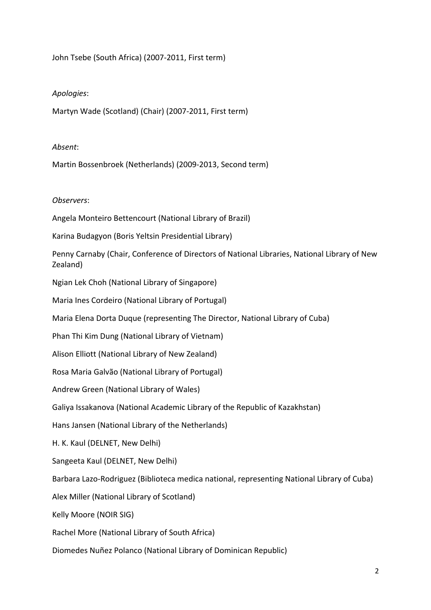John Tsebe (South Africa) (2007‐2011, First term)

# *Apologies*:

Martyn Wade (Scotland) (Chair) (2007‐2011, First term)

# *Absent*:

Martin Bossenbroek (Netherlands) (2009‐2013, Second term)

## *Observers*:

Angela Monteiro Bettencourt (National Library of Brazil)

Karina Budagyon (Boris Yeltsin Presidential Library)

Penny Carnaby (Chair, Conference of Directors of National Libraries, National Library of New Zealand)

Ngian Lek Choh (National Library of Singapore)

Maria Ines Cordeiro (National Library of Portugal)

Maria Elena Dorta Duque (representing The Director, National Library of Cuba)

Phan Thi Kim Dung (National Library of Vietnam)

Alison Elliott (National Library of New Zealand)

Rosa Maria Galvão (National Library of Portugal)

Andrew Green (National Library of Wales)

Galiya Issakanova (National Academic Library of the Republic of Kazakhstan)

Hans Jansen (National Library of the Netherlands)

H. K. Kaul (DELNET, New Delhi)

Sangeeta Kaul (DELNET, New Delhi)

Barbara Lazo‐Rodriguez (Biblioteca medica national, representing National Library of Cuba)

Alex Miller (National Library of Scotland)

Kelly Moore (NOIR SIG)

Rachel More (National Library of South Africa)

Diomedes Nuñez Polanco (National Library of Dominican Republic)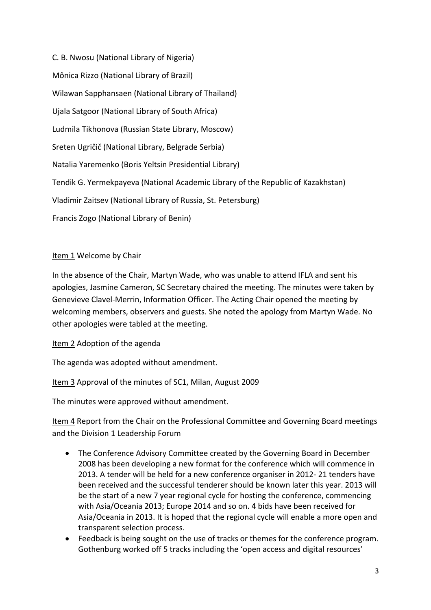C. B. Nwosu (National Library of Nigeria) Mônica Rizzo (National Library of Brazil) Wilawan Sapphansaen (National Library of Thailand) Ujala Satgoor (National Library of South Africa) Ludmila Tikhonova (Russian State Library, Moscow) Sreten Ugričič (National Library, Belgrade Serbia) Natalia Yaremenko (Boris Yeltsin Presidential Library) Tendik G. Yermekpayeva (National Academic Library of the Republic of Kazakhstan) Vladimir Zaitsev (National Library of Russia, St. Petersburg) Francis Zogo (National Library of Benin)

Item 1 Welcome by Chair

In the absence of the Chair, Martyn Wade, who was unable to attend IFLA and sent his apologies, Jasmine Cameron, SC Secretary chaired the meeting. The minutes were taken by Genevieve Clavel‐Merrin, Information Officer. The Acting Chair opened the meeting by welcoming members, observers and guests. She noted the apology from Martyn Wade. No other apologies were tabled at the meeting.

Item 2 Adoption of the agenda

The agenda was adopted without amendment.

Item 3 Approval of the minutes of SC1, Milan, August 2009

The minutes were approved without amendment.

Item 4 Report from the Chair on the Professional Committee and Governing Board meetings and the Division 1 Leadership Forum

- The Conference Advisory Committee created by the Governing Board in December 2008 has been developing a new format for the conference which will commence in 2013. A tender will be held for a new conference organiser in 2012‐ 21 tenders have been received and the successful tenderer should be known later this year. 2013 will be the start of a new 7 year regional cycle for hosting the conference, commencing with Asia/Oceania 2013; Europe 2014 and so on. 4 bids have been received for Asia/Oceania in 2013. It is hoped that the regional cycle will enable a more open and transparent selection process.
- Feedback is being sought on the use of tracks or themes for the conference program. Gothenburg worked off 5 tracks including the 'open access and digital resources'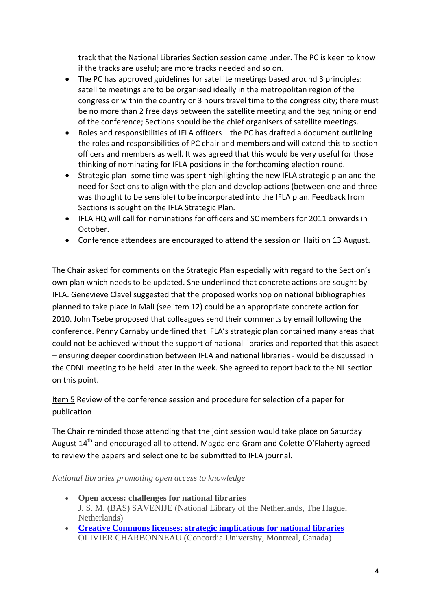track that the National Libraries Section session came under. The PC is keen to know if the tracks are useful; are more tracks needed and so on.

- The PC has approved guidelines for satellite meetings based around 3 principles: satellite meetings are to be organised ideally in the metropolitan region of the congress or within the country or 3 hours travel time to the congress city; there must be no more than 2 free days between the satellite meeting and the beginning or end of the conference; Sections should be the chief organisers of satellite meetings.
- Roles and responsibilities of IFLA officers the PC has drafted a document outlining the roles and responsibilities of PC chair and members and will extend this to section officers and members as well. It was agreed that this would be very useful for those thinking of nominating for IFLA positions in the forthcoming election round.
- Strategic plan‐ some time was spent highlighting the new IFLA strategic plan and the need for Sections to align with the plan and develop actions (between one and three was thought to be sensible) to be incorporated into the IFLA plan. Feedback from Sections is sought on the IFLA Strategic Plan.
- IFLA HQ will call for nominations for officers and SC members for 2011 onwards in October.
- Conference attendees are encouraged to attend the session on Haiti on 13 August.

The Chair asked for comments on the Strategic Plan especially with regard to the Section's own plan which needs to be updated. She underlined that concrete actions are sought by IFLA. Genevieve Clavel suggested that the proposed workshop on national bibliographies planned to take place in Mali (see item 12) could be an appropriate concrete action for 2010. John Tsebe proposed that colleagues send their comments by email following the conference. Penny Carnaby underlined that IFLA's strategic plan contained many areas that could not be achieved without the support of national libraries and reported that this aspect – ensuring deeper coordination between IFLA and national libraries ‐ would be discussed in the CDNL meeting to be held later in the week. She agreed to report back to the NL section on this point.

Item 5 Review of the conference session and procedure for selection of a paper for publication

The Chair reminded those attending that the joint session would take place on Saturday August 14<sup>th</sup> and encouraged all to attend. Magdalena Gram and Colette O'Flaherty agreed to review the papers and select one to be submitted to IFLA journal.

*National libraries promoting open access to knowledge*

- **Open access: challenges for national libraries** J. S. M. (BAS) SAVENIJE (National Library of the Netherlands, The Hague, Netherlands)
- **[Creative Commons licenses: strategic implications for national libraries](http://www.ifla.org/files/hq/papers/ifla76/132-charbonneau-en.pdf)** OLIVIER CHARBONNEAU (Concordia University, Montreal, Canada)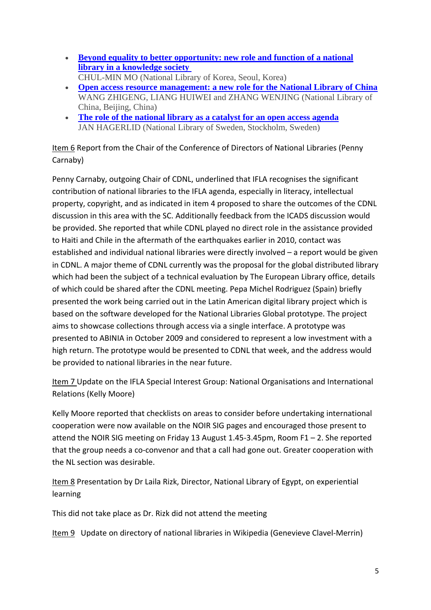- **[Beyond equality to better opportunity: new role and function of a national](http://www.ifla.org/files/hq/papers/ifla76/132-mo-en.pdf)  [library in a knowledge society](http://www.ifla.org/files/hq/papers/ifla76/132-mo-en.pdf)**
- CHUL-MIN MO (National Library of Korea, Seoul, Korea) • **[Open access resource management: a new role for the National Library of China](http://www.ifla.org/files/hq/papers/ifla76/132-zhigeng-en.pdf)** WANG ZHIGENG, LIANG HUIWEI and ZHANG WENJING (National Library of China, Beijing, China)
- **[The role of the national library as a catalyst for an open access agenda](http://www.ifla.org/files/hq/papers/ifla76/132-hagerlid-en.pdf)** JAN HAGERLID (National Library of Sweden, Stockholm, Sweden)

Item 6 Report from the Chair of the Conference of Directors of National Libraries (Penny Carnaby)

Penny Carnaby, outgoing Chair of CDNL, underlined that IFLA recognises the significant contribution of national libraries to the IFLA agenda, especially in literacy, intellectual property, copyright, and as indicated in item 4 proposed to share the outcomes of the CDNL discussion in this area with the SC. Additionally feedback from the ICADS discussion would be provided. She reported that while CDNL played no direct role in the assistance provided to Haiti and Chile in the aftermath of the earthquakes earlier in 2010, contact was established and individual national libraries were directly involved – a report would be given in CDNL. A major theme of CDNL currently was the proposal for the global distributed library which had been the subject of a technical evaluation by The European Library office, details of which could be shared after the CDNL meeting. Pepa Michel Rodriguez (Spain) briefly presented the work being carried out in the Latin American digital library project which is based on the software developed for the National Libraries Global prototype. The project aims to showcase collections through access via a single interface. A prototype was presented to ABINIA in October 2009 and considered to represent a low investment with a high return. The prototype would be presented to CDNL that week, and the address would be provided to national libraries in the near future.

Item 7 Update on the IFLA Special Interest Group: National Organisations and International Relations (Kelly Moore)

Kelly Moore reported that checklists on areas to consider before undertaking international cooperation were now available on the NOIR SIG pages and encouraged those present to attend the NOIR SIG meeting on Friday 13 August 1.45‐3.45pm, Room F1 – 2. She reported that the group needs a co-convenor and that a call had gone out. Greater cooperation with the NL section was desirable.

Item 8 Presentation by Dr Laila Rizk, Director, National Library of Egypt, on experiential learning

This did not take place as Dr. Rizk did not attend the meeting

Item 9 Update on directory of national libraries in Wikipedia (Genevieve Clavel-Merrin)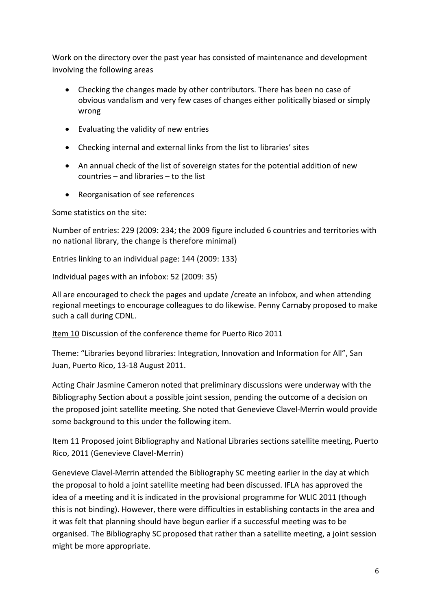Work on the directory over the past year has consisted of maintenance and development involving the following areas

- Checking the changes made by other contributors. There has been no case of obvious vandalism and very few cases of changes either politically biased or simply wrong
- Evaluating the validity of new entries
- Checking internal and external links from the list to libraries' sites
- An annual check of the list of sovereign states for the potential addition of new countries – and libraries – to the list
- Reorganisation of see references

Some statistics on the site:

Number of entries: 229 (2009: 234; the 2009 figure included 6 countries and territories with no national library, the change is therefore minimal)

Entries linking to an individual page: 144 (2009: 133)

Individual pages with an infobox: 52 (2009: 35)

All are encouraged to check the pages and update /create an infobox, and when attending regional meetings to encourage colleagues to do likewise. Penny Carnaby proposed to make such a call during CDNL.

Item 10 Discussion of the conference theme for Puerto Rico 2011

Theme: "Libraries beyond libraries: Integration, Innovation and Information for All", San Juan, Puerto Rico, 13‐18 August 2011.

Acting Chair Jasmine Cameron noted that preliminary discussions were underway with the Bibliography Section about a possible joint session, pending the outcome of a decision on the proposed joint satellite meeting. She noted that Genevieve Clavel‐Merrin would provide some background to this under the following item.

Item 11 Proposed joint Bibliography and National Libraries sections satellite meeting, Puerto Rico, 2011 (Genevieve Clavel‐Merrin)

Genevieve Clavel‐Merrin attended the Bibliography SC meeting earlier in the day at which the proposal to hold a joint satellite meeting had been discussed. IFLA has approved the idea of a meeting and it is indicated in the provisional programme for WLIC 2011 (though this is not binding). However, there were difficulties in establishing contacts in the area and it was felt that planning should have begun earlier if a successful meeting was to be organised. The Bibliography SC proposed that rather than a satellite meeting, a joint session might be more appropriate.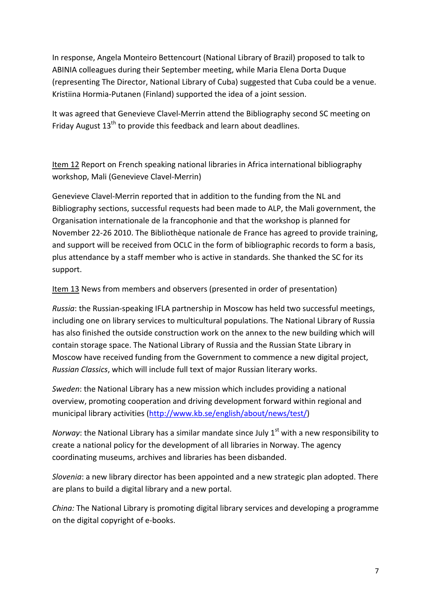In response, Angela Monteiro Bettencourt (National Library of Brazil) proposed to talk to ABINIA colleagues during their September meeting, while Maria Elena Dorta Duque (representing The Director, National Library of Cuba) suggested that Cuba could be a venue. Kristiina Hormia‐Putanen (Finland) supported the idea of a joint session.

It was agreed that Genevieve Clavel‐Merrin attend the Bibliography second SC meeting on Friday August 13<sup>th</sup> to provide this feedback and learn about deadlines.

Item 12 Report on French speaking national libraries in Africa international bibliography workshop, Mali (Genevieve Clavel‐Merrin)

Genevieve Clavel‐Merrin reported that in addition to the funding from the NL and Bibliography sections, successful requests had been made to ALP, the Mali government, the Organisation internationale de la francophonie and that the workshop is planned for November 22‐26 2010. The Bibliothèque nationale de France has agreed to provide training, and support will be received from OCLC in the form of bibliographic records to form a basis, plus attendance by a staff member who is active in standards. She thanked the SC for its support.

Item 13 News from members and observers (presented in order of presentation)

*Russia*: the Russian‐speaking IFLA partnership in Moscow has held two successful meetings, including one on library services to multicultural populations. The National Library of Russia has also finished the outside construction work on the annex to the new building which will contain storage space. The National Library of Russia and the Russian State Library in Moscow have received funding from the Government to commence a new digital project, *Russian Classics*, which will include full text of major Russian literary works.

*Sweden*: the National Library has a new mission which includes providing a national overview, promoting cooperation and driving development forward within regional and municipal library activities ([http://www.kb.se/english/about/news/test/\)](http://www.kb.se/english/about/news/test/)

*Norway*: the National Library has a similar mandate since July 1<sup>st</sup> with a new responsibility to create a national policy for the development of all libraries in Norway. The agency coordinating museums, archives and libraries has been disbanded.

*Slovenia*: a new library director has been appointed and a new strategic plan adopted. There are plans to build a digital library and a new portal.

*China:* The National Library is promoting digital library services and developing a programme on the digital copyright of e‐books.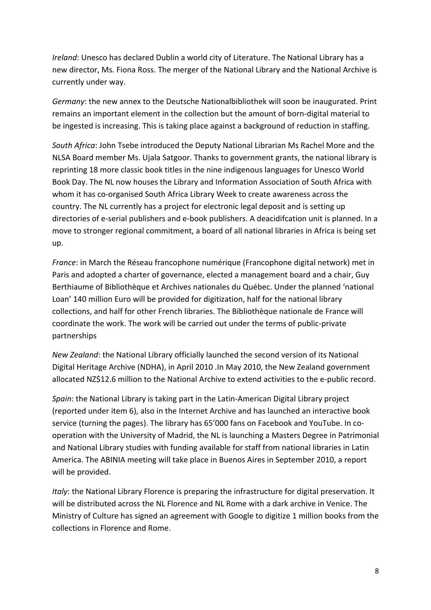*Ireland*: Unesco has declared Dublin a world city of Literature. The National Library has a new director, Ms. Fiona Ross. The merger of the National Library and the National Archive is currently under way.

*Germany*: the new annex to the Deutsche Nationalbibliothek will soon be inaugurated. Print remains an important element in the collection but the amount of born‐digital material to be ingested is increasing. This is taking place against a background of reduction in staffing.

*South Africa*: John Tsebe introduced the Deputy National Librarian Ms Rachel More and the NLSA Board member Ms. Ujala Satgoor. Thanks to government grants, the national library is reprinting 18 more classic book titles in the nine indigenous languages for Unesco World Book Day. The NL now houses the Library and Information Association of South Africa with whom it has co-organised South Africa Library Week to create awareness across the country. The NL currently has a project for electronic legal deposit and is setting up directories of e‐serial publishers and e‐book publishers. A deacidifcation unit is planned. In a move to stronger regional commitment, a board of all national libraries in Africa is being set up.

*France*: in March the Réseau francophone numérique (Francophone digital network) met in Paris and adopted a charter of governance, elected a management board and a chair, Guy Berthiaume of Bibliothèque et Archives nationales du Québec. Under the planned 'national Loan' 140 million Euro will be provided for digitization, half for the national library collections, and half for other French libraries. The Bibliothèque nationale de France will coordinate the work. The work will be carried out under the terms of public‐private partnerships

*New Zealand*: the National Library officially launched the second version of its National Digital Heritage Archive (NDHA), in April 2010 .In May 2010, the New Zealand government allocated NZ\$12.6 million to the National Archive to extend activities to the e‐public record.

*Spain*: the National Library is taking part in the Latin‐American Digital Library project (reported under item 6), also in the Internet Archive and has launched an interactive book service (turning the pages). The library has 65'000 fans on Facebook and YouTube. In cooperation with the University of Madrid, the NL is launching a Masters Degree in Patrimonial and National Library studies with funding available for staff from national libraries in Latin America. The ABINIA meeting will take place in Buenos Aires in September 2010, a report will be provided.

*Italy*: the National Library Florence is preparing the infrastructure for digital preservation. It will be distributed across the NL Florence and NL Rome with a dark archive in Venice. The Ministry of Culture has signed an agreement with Google to digitize 1 million books from the collections in Florence and Rome.